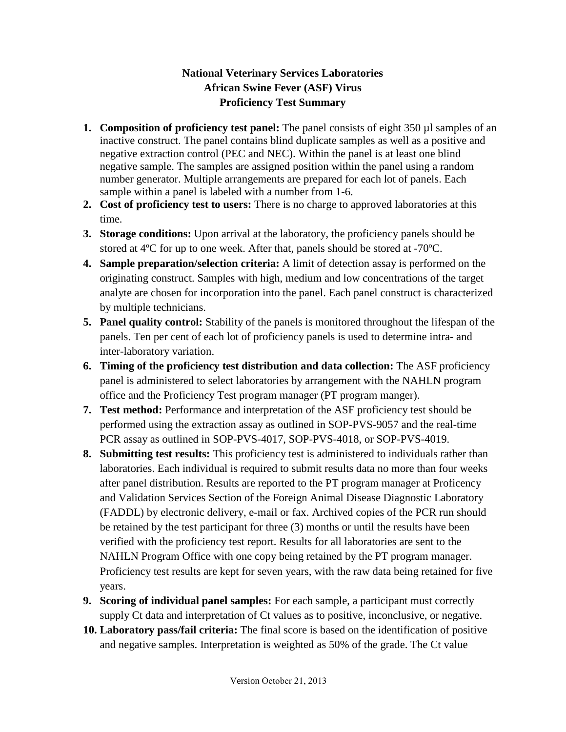## **National Veterinary Services Laboratories African Swine Fever (ASF) Virus Proficiency Test Summary**

- **1. Composition of proficiency test panel:** The panel consists of eight 350 µl samples of an inactive construct. The panel contains blind duplicate samples as well as a positive and negative extraction control (PEC and NEC). Within the panel is at least one blind negative sample. The samples are assigned position within the panel using a random number generator. Multiple arrangements are prepared for each lot of panels. Each sample within a panel is labeled with a number from 1-6.
- **2. Cost of proficiency test to users:** There is no charge to approved laboratories at this time.
- **3. Storage conditions:** Upon arrival at the laboratory, the proficiency panels should be stored at 4ºC for up to one week. After that, panels should be stored at -70ºC.
- **4. Sample preparation/selection criteria:** A limit of detection assay is performed on the originating construct. Samples with high, medium and low concentrations of the target analyte are chosen for incorporation into the panel. Each panel construct is characterized by multiple technicians.
- **5. Panel quality control:** Stability of the panels is monitored throughout the lifespan of the panels. Ten per cent of each lot of proficiency panels is used to determine intra- and inter-laboratory variation.
- **6. Timing of the proficiency test distribution and data collection:** The ASF proficiency panel is administered to select laboratories by arrangement with the NAHLN program office and the Proficiency Test program manager (PT program manger).
- **7. Test method:** Performance and interpretation of the ASF proficiency test should be performed using the extraction assay as outlined in SOP-PVS-9057 and the real-time PCR assay as outlined in SOP-PVS-4017, SOP-PVS-4018, or SOP-PVS-4019.
- **8. Submitting test results:** This proficiency test is administered to individuals rather than laboratories. Each individual is required to submit results data no more than four weeks after panel distribution. Results are reported to the PT program manager at Proficency and Validation Services Section of the Foreign Animal Disease Diagnostic Laboratory (FADDL) by electronic delivery, e-mail or fax. Archived copies of the PCR run should be retained by the test participant for three (3) months or until the results have been verified with the proficiency test report. Results for all laboratories are sent to the NAHLN Program Office with one copy being retained by the PT program manager. Proficiency test results are kept for seven years, with the raw data being retained for five years.
- **9. Scoring of individual panel samples:** For each sample, a participant must correctly supply Ct data and interpretation of Ct values as to positive, inconclusive, or negative.
- **10. Laboratory pass/fail criteria:** The final score is based on the identification of positive and negative samples. Interpretation is weighted as 50% of the grade. The Ct value